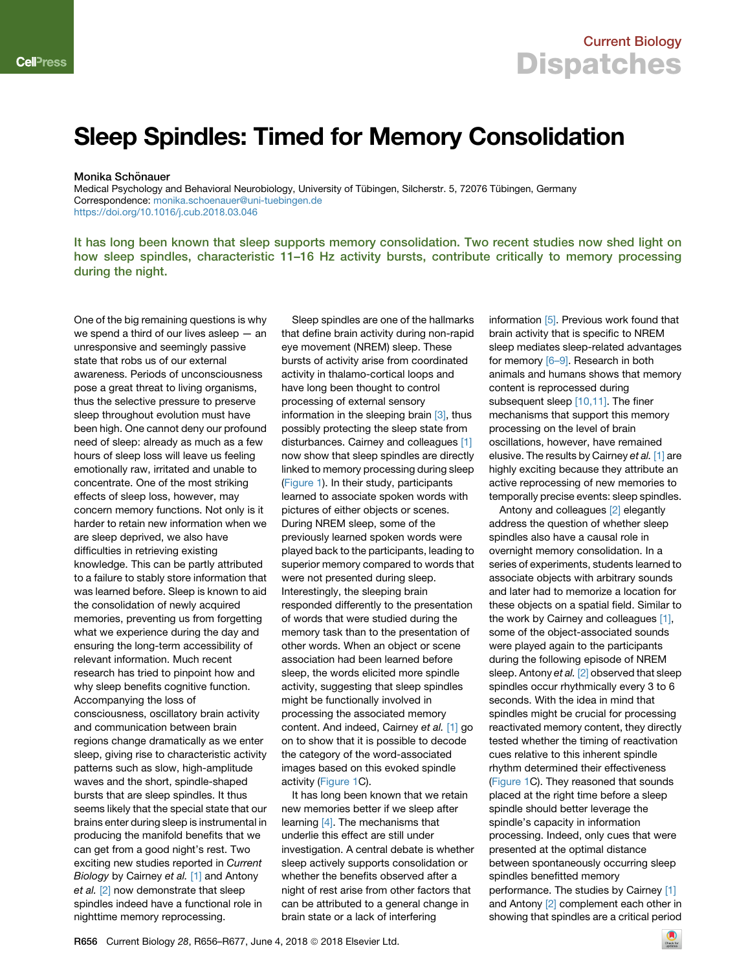### Current Biology **Dispatches**

# Sleep Spindles: Timed for Memory Consolidation

#### Monika Schönauer

<span id="page-0-0"></span>Medical Psychology and Behavioral Neurobiology, University of Tübingen, Silcherstr. 5, 72076 Tübingen, Germany Correspondence: [monika.schoenauer@uni-tuebingen.de](mailto:monika.schoenauer@uni-tuebingen.de) <https://doi.org/10.1016/j.cub.2018.03.046>

It has long been known that sleep supports memory consolidation. Two recent studies now shed light on how sleep spindles, characteristic 11–16 Hz activity bursts, contribute critically to memory processing during the night.

One of the big remaining questions is why we spend a third of our lives asleep — an unresponsive and seemingly passive state that robs us of our external awareness. Periods of unconsciousness pose a great threat to living organisms, thus the selective pressure to preserve sleep throughout evolution must have been high. One cannot deny our profound need of sleep: already as much as a few hours of sleep loss will leave us feeling emotionally raw, irritated and unable to concentrate. One of the most striking effects of sleep loss, however, may concern memory functions. Not only is it harder to retain new information when we are sleep deprived, we also have difficulties in retrieving existing knowledge. This can be partly attributed to a failure to stably store information that was learned before. Sleep is known to aid the consolidation of newly acquired memories, preventing us from forgetting what we experience during the day and ensuring the long-term accessibility of relevant information. Much recent research has tried to pinpoint how and why sleep benefits cognitive function. Accompanying the loss of consciousness, oscillatory brain activity and communication between brain regions change dramatically as we enter sleep, giving rise to characteristic activity patterns such as slow, high-amplitude waves and the short, spindle-shaped bursts that are sleep spindles. It thus seems likely that the special state that our brains enter during sleep is instrumental in producing the manifold benefits that we can get from a good night's rest. Two exciting new studies reported in *Current Biology* by Cairney *et al.* [\[1\]](#page-1-0) and Antony *et al.* [\[2\]](#page-1-1) now demonstrate that sleep spindles indeed have a functional role in nighttime memory reprocessing.

Sleep spindles are one of the hallmarks that define brain activity during non-rapid eye movement (NREM) sleep. These bursts of activity arise from coordinated activity in thalamo-cortical loops and have long been thought to control processing of external sensory information in the sleeping brain  $[3]$ , thus possibly protecting the sleep state from disturbances. Cairney and colleagues [\[1\]](#page-1-0) now show that sleep spindles are directly linked to memory processing during sleep [\(Figure 1](#page-1-3)). In their study, participants learned to associate spoken words with pictures of either objects or scenes. During NREM sleep, some of the previously learned spoken words were played back to the participants, leading to superior memory compared to words that were not presented during sleep. Interestingly, the sleeping brain responded differently to the presentation of words that were studied during the memory task than to the presentation of other words. When an object or scene association had been learned before sleep, the words elicited more spindle activity, suggesting that sleep spindles might be functionally involved in processing the associated memory content. And indeed, Cairney *et al.* [\[1\]](#page-1-0) go on to show that it is possible to decode the category of the word-associated images based on this evoked spindle activity [\(Figure 1](#page-1-3)C).

It has long been known that we retain new memories better if we sleep after learning [\[4\]](#page-1-4). The mechanisms that underlie this effect are still under investigation. A central debate is whether sleep actively supports consolidation or whether the benefits observed after a night of rest arise from other factors that can be attributed to a general change in brain state or a lack of interfering

information [\[5\]](#page-1-5). Previous work found that brain activity that is specific to NREM sleep mediates sleep-related advantages for memory [\[6–9\]](#page-1-6). Research in both animals and humans shows that memory content is reprocessed during subsequent sleep [\[10,11\]](#page-2-0). The finer mechanisms that support this memory processing on the level of brain oscillations, however, have remained elusive. The results by Cairney *et al.* [\[1\]](#page-1-0) are highly exciting because they attribute an active reprocessing of new memories to temporally precise events: sleep spindles.

Antony and colleagues [\[2\]](#page-1-1) elegantly address the question of whether sleep spindles also have a causal role in overnight memory consolidation. In a series of experiments, students learned to associate objects with arbitrary sounds and later had to memorize a location for these objects on a spatial field. Similar to the work by Cairney and colleagues [\[1\]](#page-1-0), some of the object-associated sounds were played again to the participants during the following episode of NREM sleep. Antony *et al.* [\[2\]](#page-1-1) observed that sleep spindles occur rhythmically every 3 to 6 seconds. With the idea in mind that spindles might be crucial for processing reactivated memory content, they directly tested whether the timing of reactivation cues relative to this inherent spindle rhythm determined their effectiveness ([Figure 1](#page-1-3)C). They reasoned that sounds placed at the right time before a sleep spindle should better leverage the spindle's capacity in information processing. Indeed, only cues that were presented at the optimal distance between spontaneously occurring sleep spindles benefitted memory performance. The studies by Cairney [\[1\]](#page-1-0) and Antony [\[2\]](#page-1-1) complement each other in showing that spindles are a critical period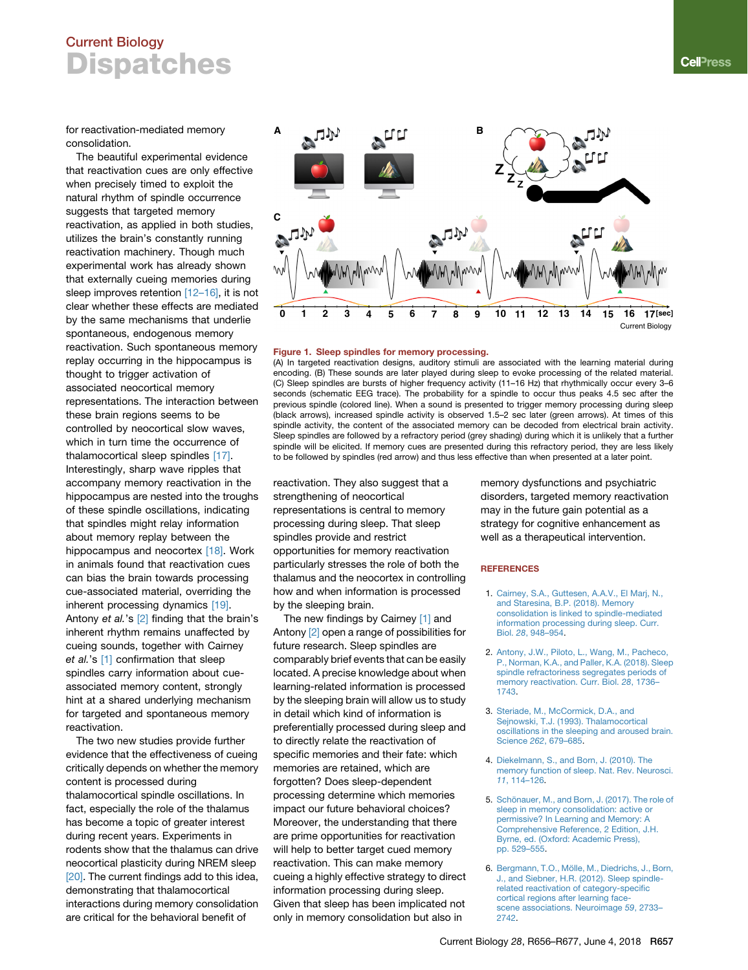### Current Biology **Dispatches**

<span id="page-1-3"></span>for reactivation-mediated memory consolidation.

The beautiful experimental evidence that reactivation cues are only effective when precisely timed to exploit the natural rhythm of spindle occurrence suggests that targeted memory reactivation, as applied in both studies, utilizes the brain's constantly running reactivation machinery. Though much experimental work has already shown that externally cueing memories during sleep improves retention [\[12–16\]](#page-2-1), it is not clear whether these effects are mediated by the same mechanisms that underlie spontaneous, endogenous memory reactivation. Such spontaneous memory replay occurring in the hippocampus is thought to trigger activation of associated neocortical memory representations. The interaction between these brain regions seems to be controlled by neocortical slow waves, which in turn time the occurrence of thalamocortical sleep spindles [\[17\].](#page-2-2) Interestingly, sharp wave ripples that accompany memory reactivation in the hippocampus are nested into the troughs of these spindle oscillations, indicating that spindles might relay information about memory replay between the hippocampus and neocortex [\[18\].](#page-2-3) Work in animals found that reactivation cues can bias the brain towards processing cue-associated material, overriding the inherent processing dynamics [\[19\]](#page-2-4). Antony *et al.*'s [\[2\]](#page-1-1) finding that the brain's inherent rhythm remains unaffected by cueing sounds, together with Cairney *et al.*'s [\[1\]](#page-1-0) confirmation that sleep spindles carry information about cueassociated memory content, strongly hint at a shared underlying mechanism for targeted and spontaneous memory reactivation.

The two new studies provide further evidence that the effectiveness of cueing critically depends on whether the memory content is processed during thalamocortical spindle oscillations. In fact, especially the role of the thalamus has become a topic of greater interest during recent years. Experiments in rodents show that the thalamus can drive neocortical plasticity during NREM sleep [\[20\].](#page-2-5) The current findings add to this idea, demonstrating that thalamocortical interactions during memory consolidation are critical for the behavioral benefit of



#### Figure 1. Sleep spindles for memory processing.

(A) In targeted reactivation designs, auditory stimuli are associated with the learning material during encoding. (B) These sounds are later played during sleep to evoke processing of the related material. (C) Sleep spindles are bursts of higher frequency activity (11–16 Hz) that rhythmically occur every 3–6 seconds (schematic EEG trace). The probability for a spindle to occur thus peaks 4.5 sec after the previous spindle (colored line). When a sound is presented to trigger memory processing during sleep (black arrows), increased spindle activity is observed 1.5–2 sec later (green arrows). At times of this spindle activity, the content of the associated memory can be decoded from electrical brain activity. Sleep spindles are followed by a refractory period (grey shading) during which it is unlikely that a further spindle will be elicited. If memory cues are presented during this refractory period, they are less likely to be followed by spindles (red arrow) and thus less effective than when presented at a later point.

reactivation. They also suggest that a strengthening of neocortical representations is central to memory processing during sleep. That sleep spindles provide and restrict opportunities for memory reactivation particularly stresses the role of both the thalamus and the neocortex in controlling how and when information is processed by the sleeping brain.

The new findings by Cairney [\[1\]](#page-1-0) and Antony [\[2\]](#page-1-1) open a range of possibilities for future research. Sleep spindles are comparably brief events that can be easily located. A precise knowledge about when learning-related information is processed by the sleeping brain will allow us to study in detail which kind of information is preferentially processed during sleep and to directly relate the reactivation of specific memories and their fate: which memories are retained, which are forgotten? Does sleep-dependent processing determine which memories impact our future behavioral choices? Moreover, the understanding that there are prime opportunities for reactivation will help to better target cued memory reactivation. This can make memory cueing a highly effective strategy to direct information processing during sleep. Given that sleep has been implicated not only in memory consolidation but also in

memory dysfunctions and psychiatric disorders, targeted memory reactivation may in the future gain potential as a strategy for cognitive enhancement as well as a therapeutical intervention.

#### **REFERENCES**

- <span id="page-1-0"></span>1. [Cairney, S.A., Guttesen, A.A.V., El Marj, N.,](http://refhub.elsevier.com/S0960-9822(18)30375-0/sref1) [and Staresina, B.P. \(2018\). Memory](http://refhub.elsevier.com/S0960-9822(18)30375-0/sref1) [consolidation is linked to spindle-mediated](http://refhub.elsevier.com/S0960-9822(18)30375-0/sref1) [information processing during sleep. Curr.](http://refhub.elsevier.com/S0960-9822(18)30375-0/sref1) Biol. *28*[, 948–954.](http://refhub.elsevier.com/S0960-9822(18)30375-0/sref1)
- <span id="page-1-1"></span>2. [Antony, J.W., Piloto, L., Wang, M., Pacheco,](http://refhub.elsevier.com/S0960-9822(18)30375-0/sref2) [P., Norman, K.A., and Paller, K.A. \(2018\). Sleep](http://refhub.elsevier.com/S0960-9822(18)30375-0/sref2) [spindle refractoriness segregates periods of](http://refhub.elsevier.com/S0960-9822(18)30375-0/sref2) [memory reactivation. Curr. Biol.](http://refhub.elsevier.com/S0960-9822(18)30375-0/sref2) *28*, 1736– [1743](http://refhub.elsevier.com/S0960-9822(18)30375-0/sref2).
- <span id="page-1-2"></span>3. [Steriade, M., McCormick, D.A., and](http://refhub.elsevier.com/S0960-9822(18)30375-0/sref3) [Sejnowski, T.J. \(1993\). Thalamocortical](http://refhub.elsevier.com/S0960-9822(18)30375-0/sref3) [oscillations in the sleeping and aroused brain.](http://refhub.elsevier.com/S0960-9822(18)30375-0/sref3) Science *262*[, 679–685.](http://refhub.elsevier.com/S0960-9822(18)30375-0/sref3)
- <span id="page-1-4"></span>4. [Diekelmann, S., and Born, J. \(2010\). The](http://refhub.elsevier.com/S0960-9822(18)30375-0/sref4) [memory function of sleep. Nat. Rev. Neurosci.](http://refhub.elsevier.com/S0960-9822(18)30375-0/sref4) *11*[, 114–126.](http://refhub.elsevier.com/S0960-9822(18)30375-0/sref4)
- <span id="page-1-5"></span>5. Schö[nauer, M., and Born, J. \(2017\). The role of](http://refhub.elsevier.com/S0960-9822(18)30375-0/sref5) [sleep in memory consolidation: active or](http://refhub.elsevier.com/S0960-9822(18)30375-0/sref5) [permissive? In Learning and Memory: A](http://refhub.elsevier.com/S0960-9822(18)30375-0/sref5) [Comprehensive Reference, 2 Edition, J.H.](http://refhub.elsevier.com/S0960-9822(18)30375-0/sref5) [Byrne, ed. \(Oxford: Academic Press\),](http://refhub.elsevier.com/S0960-9822(18)30375-0/sref5) [pp. 529–555](http://refhub.elsevier.com/S0960-9822(18)30375-0/sref5).
- <span id="page-1-6"></span>6. Bergmann, T.O., Mö[lle, M., Diedrichs, J., Born,](http://refhub.elsevier.com/S0960-9822(18)30375-0/sref6) [J., and Siebner, H.R. \(2012\). Sleep spindle](http://refhub.elsevier.com/S0960-9822(18)30375-0/sref6)[related reactivation of category-specific](http://refhub.elsevier.com/S0960-9822(18)30375-0/sref6) [cortical regions after learning face](http://refhub.elsevier.com/S0960-9822(18)30375-0/sref6)[scene associations. Neuroimage](http://refhub.elsevier.com/S0960-9822(18)30375-0/sref6) *59*, 2733– [2742](http://refhub.elsevier.com/S0960-9822(18)30375-0/sref6).